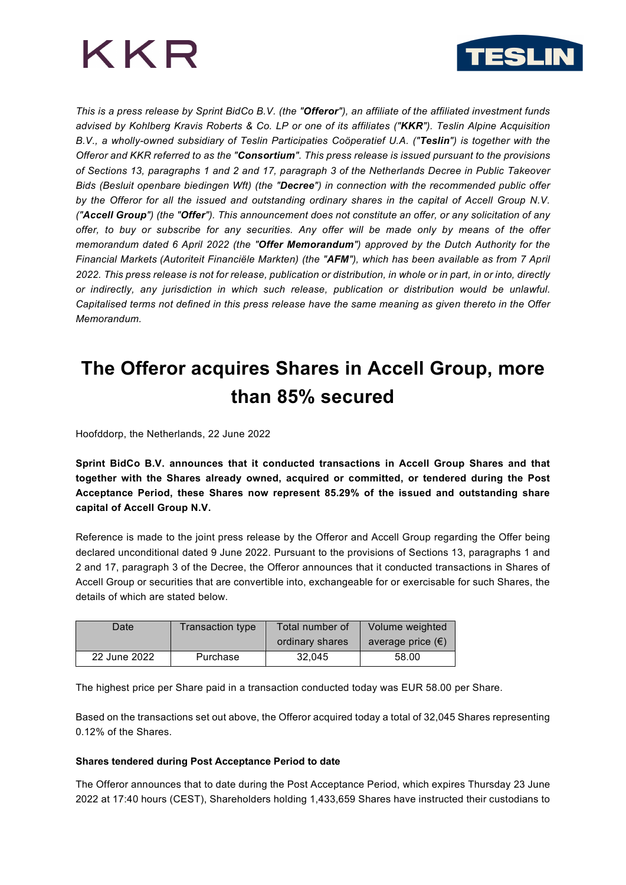



*This is a press release by Sprint BidCo B.V. (the "Offeror"), an affiliate of the affiliated investment funds advised by Kohlberg Kravis Roberts & Co. LP or one of its affiliates ("KKR"). Teslin Alpine Acquisition B.V., a wholly-owned subsidiary of Teslin Participaties Coöperatief U.A. ("Teslin") is together with the Offeror and KKR referred to as the "Consortium". This press release is issued pursuant to the provisions of Sections 13, paragraphs 1 and 2 and 17, paragraph 3 of the Netherlands Decree in Public Takeover Bids (Besluit openbare biedingen Wft) (the "Decree") in connection with the recommended public offer by the Offeror for all the issued and outstanding ordinary shares in the capital of Accell Group N.V. ("Accell Group") (the "Offer"). This announcement does not constitute an offer, or any solicitation of any offer, to buy or subscribe for any securities. Any offer will be made only by means of the offer memorandum dated 6 April 2022 (the "Offer Memorandum") approved by the Dutch Authority for the Financial Markets (Autoriteit Financiële Markten) (the "AFM"), which has been available as from 7 April 2022. This press release is not for release, publication or distribution, in whole or in part, in or into, directly or indirectly, any jurisdiction in which such release, publication or distribution would be unlawful. Capitalised terms not defined in this press release have the same meaning as given thereto in the Offer Memorandum.*

# **The Offeror acquires Shares in Accell Group, more than 85% secured**

Hoofddorp, the Netherlands, 22 June 2022

**Sprint BidCo B.V. announces that it conducted transactions in Accell Group Shares and that together with the Shares already owned, acquired or committed, or tendered during the Post Acceptance Period, these Shares now represent 85.29% of the issued and outstanding share capital of Accell Group N.V.**

Reference is made to the joint press release by the Offeror and Accell Group regarding the Offer being declared unconditional dated 9 June 2022. Pursuant to the provisions of Sections 13, paragraphs 1 and 2 and 17, paragraph 3 of the Decree, the Offeror announces that it conducted transactions in Shares of Accell Group or securities that are convertible into, exchangeable for or exercisable for such Shares, the details of which are stated below.

| Date         | Transaction type | Total number of | Volume weighted            |
|--------------|------------------|-----------------|----------------------------|
|              |                  | ordinary shares | average price $(\epsilon)$ |
| 22 June 2022 | Purchase         | 32.045          | 58.00                      |

The highest price per Share paid in a transaction conducted today was EUR 58.00 per Share.

Based on the transactions set out above, the Offeror acquired today a total of 32,045 Shares representing 0.12% of the Shares.

## **Shares tendered during Post Acceptance Period to date**

The Offeror announces that to date during the Post Acceptance Period, which expires Thursday 23 June 2022 at 17:40 hours (CEST), Shareholders holding 1,433,659 Shares have instructed their custodians to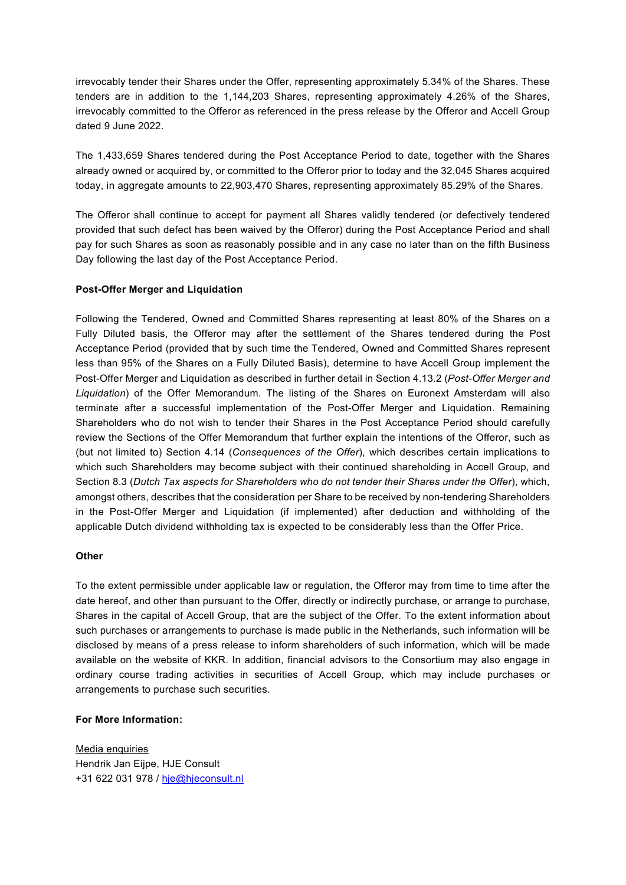irrevocably tender their Shares under the Offer, representing approximately 5.34% of the Shares. These tenders are in addition to the 1,144,203 Shares, representing approximately 4.26% of the Shares, irrevocably committed to the Offeror as referenced in the press release by the Offeror and Accell Group dated 9 June 2022.

The 1,433,659 Shares tendered during the Post Acceptance Period to date, together with the Shares already owned or acquired by, or committed to the Offeror prior to today and the 32,045 Shares acquired today, in aggregate amounts to 22,903,470 Shares, representing approximately 85.29% of the Shares.

The Offeror shall continue to accept for payment all Shares validly tendered (or defectively tendered provided that such defect has been waived by the Offeror) during the Post Acceptance Period and shall pay for such Shares as soon as reasonably possible and in any case no later than on the fifth Business Day following the last day of the Post Acceptance Period.

## **Post-Offer Merger and Liquidation**

Following the Tendered, Owned and Committed Shares representing at least 80% of the Shares on a Fully Diluted basis, the Offeror may after the settlement of the Shares tendered during the Post Acceptance Period (provided that by such time the Tendered, Owned and Committed Shares represent less than 95% of the Shares on a Fully Diluted Basis), determine to have Accell Group implement the Post-Offer Merger and Liquidation as described in further detail in Section 4.13.2 (*Post-Offer Merger and Liquidation*) of the Offer Memorandum. The listing of the Shares on Euronext Amsterdam will also terminate after a successful implementation of the Post-Offer Merger and Liquidation. Remaining Shareholders who do not wish to tender their Shares in the Post Acceptance Period should carefully review the Sections of the Offer Memorandum that further explain the intentions of the Offeror, such as (but not limited to) Section 4.14 (*Consequences of the Offer*), which describes certain implications to which such Shareholders may become subject with their continued shareholding in Accell Group, and Section 8.3 (*Dutch Tax aspects for Shareholders who do not tender their Shares under the Offer*), which, amongst others, describes that the consideration per Share to be received by non-tendering Shareholders in the Post-Offer Merger and Liquidation (if implemented) after deduction and withholding of the applicable Dutch dividend withholding tax is expected to be considerably less than the Offer Price.

## **Other**

To the extent permissible under applicable law or regulation, the Offeror may from time to time after the date hereof, and other than pursuant to the Offer, directly or indirectly purchase, or arrange to purchase, Shares in the capital of Accell Group, that are the subject of the Offer. To the extent information about such purchases or arrangements to purchase is made public in the Netherlands, such information will be disclosed by means of a press release to inform shareholders of such information, which will be made available on the website of KKR. In addition, financial advisors to the Consortium may also engage in ordinary course trading activities in securities of Accell Group, which may include purchases or arrangements to purchase such securities.

## **For More Information:**

Media enquiries Hendrik Jan Eijpe, HJE Consult +31 622 031 978 / [hje@hjeconsult.nl](mailto:hje@hjeconsult.nl)